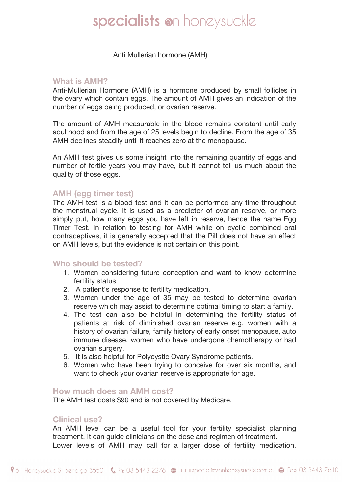# specialists on honeysuckle

 Anti Mullerian hormone (AMH)

#### **What is AMH?**

Anti-Mullerian Hormone (AMH) is a hormone produced by small follicles in the ovary which contain eggs. The amount of AMH gives an indication of the number of eggs being produced, or ovarian reserve.

The amount of AMH measurable in the blood remains constant until early adulthood and from the age of 25 levels begin to decline. From the age of 35 AMH declines steadily until it reaches zero at the menopause.

An AMH test gives us some insight into the remaining quantity of eggs and number of fertile years you may have, but it cannot tell us much about the quality of those eggs.

## **AMH (egg timer test)**

The AMH test is a blood test and it can be performed any time throughout the menstrual cycle. It is used as a predictor of ovarian reserve, or more simply put, how many eggs you have left in reserve, hence the name Egg Timer Test. In relation to testing for AMH while on cyclic combined oral contraceptives, it is generally accepted that the Pill does not have an effect on AMH levels, but the evidence is not certain on this point.

### **Who should be tested?**

- 1. Women considering future conception and want to know determine fertility status
- 2. A patient's response to fertility medication.
- 3. Women under the age of 35 may be tested to determine ovarian reserve which may assist to determine optimal timing to start a family.
- 4. The test can also be helpful in determining the fertility status of patients at risk of diminished ovarian reserve e.g. women with a history of ovarian failure, family history of early onset menopause, auto immune disease, women who have undergone chemotherapy or had ovarian surgery.
- 5. It is also helpful for Polycystic Ovary Syndrome patients.
- 6. Women who have been trying to conceive for over six months, and want to check your ovarian reserve is appropriate for age.

#### **How much does an AMH cost?**

The AMH test costs \$90 and is not covered by Medicare.

### **Clinical use?**

An AMH level can be a useful tool for your fertility specialist planning treatment. It can guide clinicians on the dose and regimen of treatment. Lower levels of AMH may call for a larger dose of fertility medication.